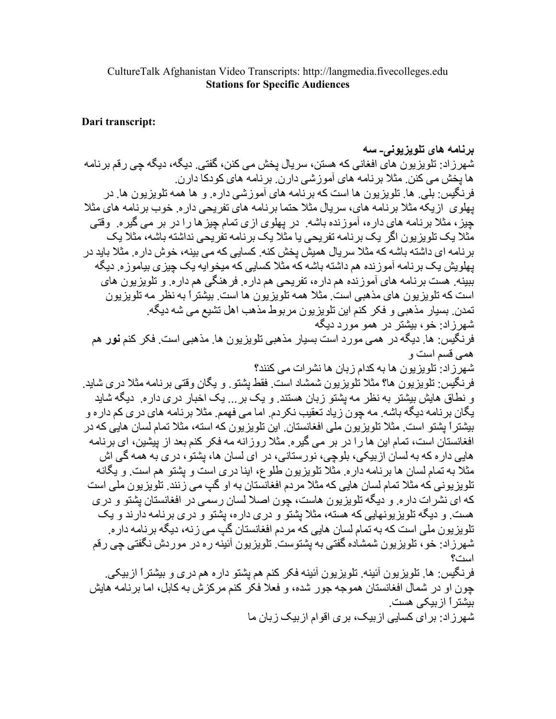## CultureTalk Afghanistan Video Transcripts: http://langmedia.fivecolleges.edu **Stations for Specific Audiences**

## Dari transcript:

برنامه های تلویزیونی۔ سه شهرزاد: تلویزیون های افغانی که هستن، سریال بخش می کنن، گفتی. دیگه، دیگه جی رقم برنامه ها يخش مي كنن. مثلا بر نامه هاي آموز شي دار ن. بر نامه هاي كودكا دار ن. فر نگيس: بلي ٍ ها ٍ تلو پز يو ن ها است كه بر نامه هاي آمو ز شي دار ه ٍ و ها همه تلو پز يو ن ها ٍ در بهلوی از بکه مثلا بر نامه های، سر بال مثلا حتما بر نامه های تفریحی داره خوب برنامه های مثلا چیز، مثلاً برنامه های داره، آموزنده باشه ٍ در پهلوی ازی نمام چیز ها را در بر می گیره ِ وقتی مثلا یک تلو بز بو ن اگر یک بر نامه تفر یحی یا مثلاً یک بر نامه تفر یحی نداشته باشه، مثلاً یک بر نامه ای داشته باشه که مثلا سریال همیش یخش کنه. کسایی که می بینه، خوش دار ه. مثلا باید در بـهلویش یـک بر نـامـه آمو ز نده هم داشته بـاشـه کـه مثلا کسـایـی کـه میـخو ایـه یـک جیز ی بیـامو ز ه ِ دیـگـه ببینه. هست برنامه های آموزنده هم داره، تفریحی هم داره. فر هنگی هم داره. و تلویزیون های است که تلویزیون های مذهبی است. مثلا همه تلویزیون ها است. بیشتراً به نظر مه تلویزیون تمدن ِ بسیار مذهبی و فکر کنم این تلویزیون مربوط مذهب اهل تشیع می شه دیگه ِ شهر ز اد: خو ، بېشتر در همو مو ر د ديگه فر نگيس: ها. ديگه در همي مور د است بسيار مذهبي تلويز يو ن ها. مذهبي است. فكر كنم **نور** هم همے قسم است و شهر ز ادر تلو بز بو ن ها به کدام ز بان ها نشر ات مے کنند؟ فرنگيس: تلويزيون ها؟ مثلا تُلويزيون شمشاد است. فقط بِشتو ٍ و بِگان وقتـي برنـامـه مثلاً در ي شايد ِ و نطاق هایش بیشتر به نظر مه بشتو زبان هستند. و یک بر ... یک اخبار در ی داره. دیگه شاید بِگان برنامه دیگه باشه ِ مه چون زیاد تعقیب نکردم ِ اما می فهمم ِ مثلا برنامه های دری کم داره و بیشتراً بِشتو است ِ مثلاً تلویزیون ملّی افغانستان ِ این تلویزیون که استه، مثلاً تمام لسان هایی که در افغانستان است، تمام این ها را در بر می گیره. مثلا روزانه مه فکر کنم بعد از پیشین، ای برنامه هایی دار ه که به لسان از بیکی، بلوچی، نور ستانی، در ای لسان ها، بشتو ، در ی به همه گی اش مثلاً به تمام لسان ها برنامه داره. مثلاً تلويزيون طلوع، ابنا دري است و يشتو هم است. و يگانه تلو پز يو نے که مثلا تمام لسان هايے که مثلا مر دم افغانستان به او گب مے ز نند ِ تلو پز يو ن ملے است که ای نشر ات دار ه و دیگه تلویز یون هاست، جون اصلا لسان رسمی در افغانستان بشتو و در ی هست و دیگه تلویزیونهایی که هسته، مثلاً بِشتو و دری داره، بِشتو و دری برنامه دارند و یک تلو پز پو ن ملی است که به تمام لسان هایی که مر دم افغانستان گپ می ز نه، دیگه بر نامه دار ه شهر ز اد: خو ، تلویز یو ن شمشاده گفتی به بشتوست. تلویز یو ن آئینه ر ه در مو ر دش نگفتی چی ر قم است؟ فرنگيس: ها. تلويزيون آئينه. تلويزيون آئينه فكر كنم هم يشتو داره هم دري و بيشتراً ازبيكي.

چون او در شمال افغانستان هموجه جور شده، و فعلا فکر کنم مرکزش به کابل، اما برنامه هایش بیشتر آ از بیکے مست شهر ز اد: بر ای کسابی از بیک، بر ی اقو ام از بیک ز بان ما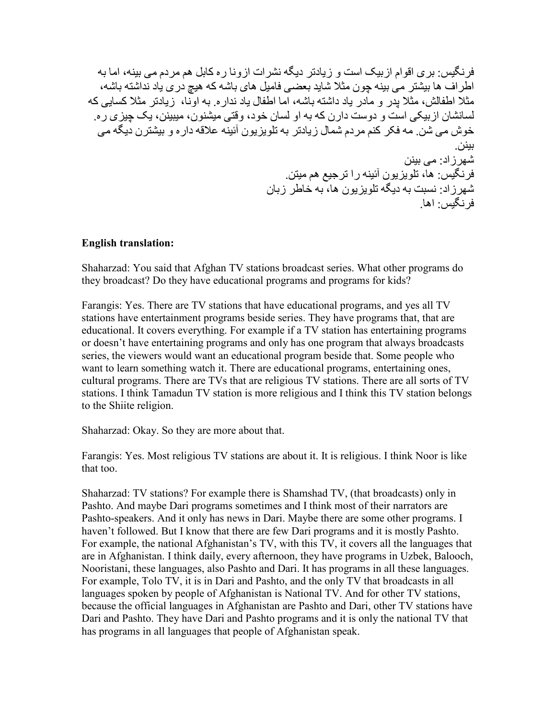فرنگیس: بری اقوام ازبیک است و زیادتر دیگه نشرات ازونا ره کابل هم مردم می بینه، اما به اطر اف ها بیشتر می بینه جون مثلا شاید بعضی فامیل های باشه که هیچ در ی باد نداشته باشه، مثلا اطفالش، مثلا بدر و مادر باد داشته باشه، اما اطفال باد ندار ه به اوِّنا، زيادتر مثلا كسابي كه لسانشان از بېکې است و دوست دار ن که به او لسان خود، وقتي مېشنو ن، مېبېنن، بک جېز ی ر م خوش می شن ِ مه فکر کنم مردم شمال زیادتر به تلویزیون آئینه علاقه داره و بیشترن دیگه می ببنن. شھر ز اد: مے بینن ور نگیس ها، تلویزیون آئینه را ترجیع هم میتن شهرزاد: نسبت به دیگه تلویزیون ها، به خاطر زبان فر نگس ۱۰ اها

## **English translation:**

Shaharzad: You said that Afghan TV stations broadcast series. What other programs do they broadcast? Do they have educational programs and programs for kids?

Farangis: Yes. There are TV stations that have educational programs, and yes all TV stations have entertainment programs beside series. They have programs that, that are educational. It covers everything. For example if a TV station has entertaining programs or doesn't have entertaining programs and only has one program that always broadcasts series, the viewers would want an educational program beside that. Some people who want to learn something watch it. There are educational programs, entertaining ones, cultural programs. There are TVs that are religious TV stations. There are all sorts of TV stations. I think Tamadun TV station is more religious and I think this TV station belongs to the Shiite religion.

Shaharzad: Okay. So they are more about that.

Farangis: Yes. Most religious TV stations are about it. It is religious. I think Noor is like that too.

Shaharzad: TV stations? For example there is Shamshad TV, (that broadcasts) only in Pashto. And maybe Dari programs sometimes and I think most of their narrators are Pashto-speakers. And it only has news in Dari. Maybe there are some other programs. I haven't followed. But I know that there are few Dari programs and it is mostly Pashto. For example, the national Afghanistan's TV, with this TV, it covers all the languages that are in Afghanistan. I think daily, every afternoon, they have programs in Uzbek, Balooch, Nooristani, these languages, also Pashto and Dari. It has programs in all these languages. For example, Tolo TV, it is in Dari and Pashto, and the only TV that broadcasts in all languages spoken by people of Afghanistan is National TV. And for other TV stations, because the official languages in Afghanistan are Pashto and Dari, other TV stations have Dari and Pashto. They have Dari and Pashto programs and it is only the national TV that has programs in all languages that people of Afghanistan speak.